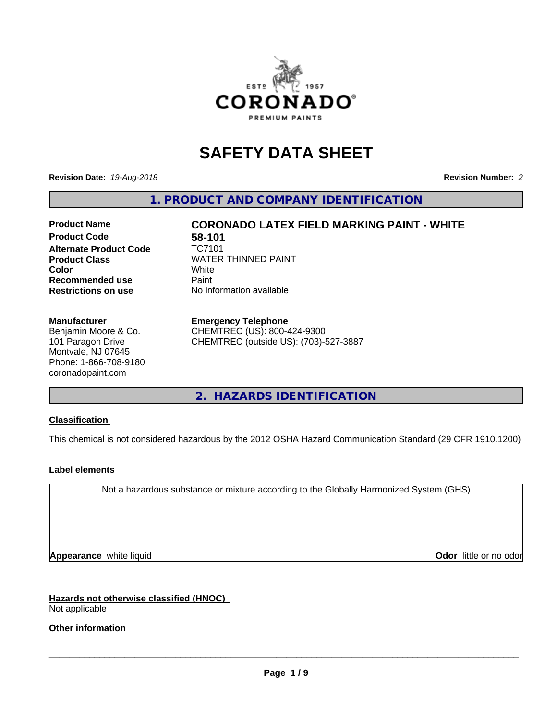

# **SAFETY DATA SHEET**

**Revision Date:** *19-Aug-2018* **Revision Number:** *2*

**1. PRODUCT AND COMPANY IDENTIFICATION**

# **Product Code 58-101**<br>Alternate Product Code **10**77101 **Alternate Product Code Product Class** WATER THINNED PAINT<br>
Color **Recommended use** Paint **Restrictions on use** No information available

**Product Name CORONADO LATEX FIELD MARKING PAINT - WHITE Color** White White

#### **Manufacturer**

Benjamin Moore & Co. 101 Paragon Drive Montvale, NJ 07645 Phone: 1-866-708-9180 coronadopaint.com

#### **Emergency Telephone**

CHEMTREC (US): 800-424-9300 CHEMTREC (outside US): (703)-527-3887

**2. HAZARDS IDENTIFICATION**

#### **Classification**

This chemical is not considered hazardous by the 2012 OSHA Hazard Communication Standard (29 CFR 1910.1200)

#### **Label elements**

Not a hazardous substance or mixture according to the Globally Harmonized System (GHS)

**Appearance** white liquid **Contract Contract Contract Contract Contract Contract Contract Contract Contract Contract Contract Contract Contract Contract Contract Contract Contract Contract Contract Contract Contract Contra** 

**Hazards not otherwise classified (HNOC)** Not applicable

#### **Other information**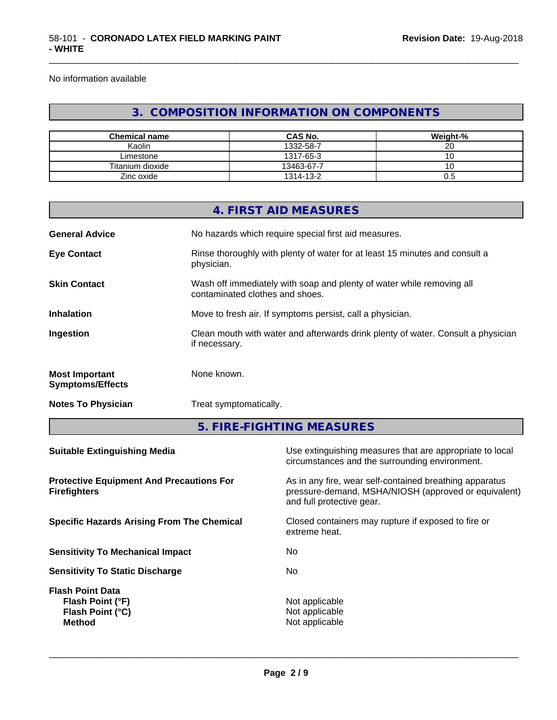No information available

# **3. COMPOSITION INFORMATION ON COMPONENTS**

\_\_\_\_\_\_\_\_\_\_\_\_\_\_\_\_\_\_\_\_\_\_\_\_\_\_\_\_\_\_\_\_\_\_\_\_\_\_\_\_\_\_\_\_\_\_\_\_\_\_\_\_\_\_\_\_\_\_\_\_\_\_\_\_\_\_\_\_\_\_\_\_\_\_\_\_\_\_\_\_\_\_\_\_\_\_\_\_\_\_\_\_\_

| <b>Chemical name</b> | <b>CAS No.</b> | Weight-% |
|----------------------|----------------|----------|
| Kaolin               | 1332-58-7      | ~~<br>∠∪ |
| Limestone            | 1317-65-3      | v        |
| Titanium dioxide     | 13463-67-7     | v        |
| Zinc oxide           | 1314-13-2      | U.J      |

|                                                  | 4. FIRST AID MEASURES                                                                                    |
|--------------------------------------------------|----------------------------------------------------------------------------------------------------------|
| <b>General Advice</b>                            | No hazards which require special first aid measures.                                                     |
| <b>Eye Contact</b>                               | Rinse thoroughly with plenty of water for at least 15 minutes and consult a<br>physician.                |
| <b>Skin Contact</b>                              | Wash off immediately with soap and plenty of water while removing all<br>contaminated clothes and shoes. |
| <b>Inhalation</b>                                | Move to fresh air. If symptoms persist, call a physician.                                                |
| Ingestion                                        | Clean mouth with water and afterwards drink plenty of water. Consult a physician<br>if necessary.        |
| <b>Most Important</b><br><b>Symptoms/Effects</b> | None known.                                                                                              |
| <b>Notes To Physician</b>                        | Treat symptomatically.                                                                                   |
|                                                  |                                                                                                          |

**5. FIRE-FIGHTING MEASURES**

| Use extinguishing measures that are appropriate to local<br>circumstances and the surrounding environment.                                   |
|----------------------------------------------------------------------------------------------------------------------------------------------|
| As in any fire, wear self-contained breathing apparatus<br>pressure-demand, MSHA/NIOSH (approved or equivalent)<br>and full protective gear. |
| Closed containers may rupture if exposed to fire or<br>extreme heat.                                                                         |
| No                                                                                                                                           |
| No.                                                                                                                                          |
| Not applicable<br>Not applicable<br>Not applicable                                                                                           |
|                                                                                                                                              |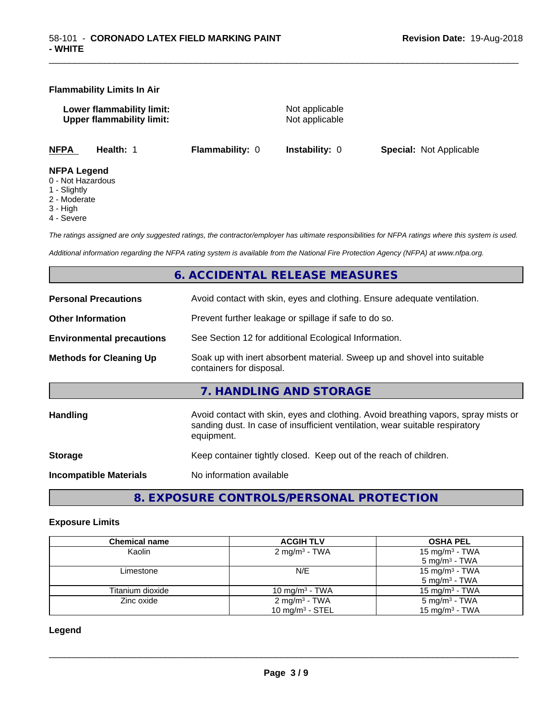#### **Flammability Limits In Air**

**Lower flammability limit:**<br>
Upper flammability limit:<br>
Upper flammability limit:<br>
Not applicable **Upper flammability limit:** 

\_\_\_\_\_\_\_\_\_\_\_\_\_\_\_\_\_\_\_\_\_\_\_\_\_\_\_\_\_\_\_\_\_\_\_\_\_\_\_\_\_\_\_\_\_\_\_\_\_\_\_\_\_\_\_\_\_\_\_\_\_\_\_\_\_\_\_\_\_\_\_\_\_\_\_\_\_\_\_\_\_\_\_\_\_\_\_\_\_\_\_\_\_

**NFPA Health:** 1 **Flammability:** 0 **Instability:** 0 **Special:** Not Applicable

#### **NFPA Legend**

- 0 Not Hazardous
- 1 Slightly
- 2 Moderate
- 3 High
- 4 Severe

*The ratings assigned are only suggested ratings, the contractor/employer has ultimate responsibilities for NFPA ratings where this system is used.*

*Additional information regarding the NFPA rating system is available from the National Fire Protection Agency (NFPA) at www.nfpa.org.*

### **6. ACCIDENTAL RELEASE MEASURES**

| <b>Personal Precautions</b>      | Avoid contact with skin, eyes and clothing. Ensure adequate ventilation.                                                                                                         |
|----------------------------------|----------------------------------------------------------------------------------------------------------------------------------------------------------------------------------|
| <b>Other Information</b>         | Prevent further leakage or spillage if safe to do so.                                                                                                                            |
| <b>Environmental precautions</b> | See Section 12 for additional Ecological Information.                                                                                                                            |
| <b>Methods for Cleaning Up</b>   | Soak up with inert absorbent material. Sweep up and shovel into suitable<br>containers for disposal.                                                                             |
|                                  | 7. HANDLING AND STORAGE                                                                                                                                                          |
| Handling                         | Avoid contact with skin, eyes and clothing. Avoid breathing vapors, spray mists or<br>sanding dust. In case of insufficient ventilation, wear suitable respiratory<br>equipment. |
| <b>Storage</b>                   | Keep container tightly closed. Keep out of the reach of children.                                                                                                                |
| <b>Incompatible Materials</b>    | No information available                                                                                                                                                         |
|                                  |                                                                                                                                                                                  |

**8. EXPOSURE CONTROLS/PERSONAL PROTECTION**

#### **Exposure Limits**

| <b>Chemical name</b> | <b>ACGIH TLV</b>          | <b>OSHA PEL</b>            |
|----------------------|---------------------------|----------------------------|
| Kaolin               | $2 \text{ mg/m}^3$ - TWA  | 15 mg/m <sup>3</sup> - TWA |
|                      |                           | $5 \text{ mg/m}^3$ - TWA   |
| Limestone            | N/E                       | 15 mg/m <sup>3</sup> - TWA |
|                      |                           | $5 \text{ mg/m}^3$ - TWA   |
| Titanium dioxide     | 10 mg/m $3$ - TWA         | 15 mg/m $3$ - TWA          |
| Zinc oxide           | 2 mg/m <sup>3</sup> - TWA | $5 \text{ mg/m}^3$ - TWA   |
|                      | 10 mg/m $3 -$ STEL        | $15 \text{ mg/m}^3$ - TWA  |

**Legend**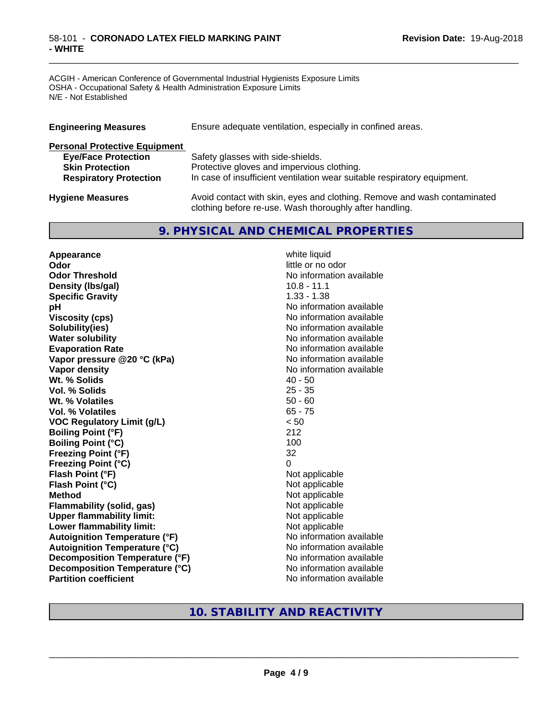#### 58-101 - **CORONADO LATEX FIELD MARKING PAINT - WHITE**

ACGIH - American Conference of Governmental Industrial Hygienists Exposure Limits OSHA - Occupational Safety & Health Administration Exposure Limits N/E - Not Established

| <b>Engineering Measures</b>          | Ensure adequate ventilation, especially in confined areas.               |  |  |
|--------------------------------------|--------------------------------------------------------------------------|--|--|
| <b>Personal Protective Equipment</b> |                                                                          |  |  |
| <b>Eye/Face Protection</b>           | Safety glasses with side-shields.                                        |  |  |
| <b>Skin Protection</b>               | Protective gloves and impervious clothing.                               |  |  |
| <b>Respiratory Protection</b>        | In case of insufficient ventilation wear suitable respiratory equipment. |  |  |
| <b>Hygiene Measures</b>              | Avoid contact with skin, eyes and clothing. Remove and wash contaminated |  |  |

clothing before re-use. Wash thoroughly after handling.

\_\_\_\_\_\_\_\_\_\_\_\_\_\_\_\_\_\_\_\_\_\_\_\_\_\_\_\_\_\_\_\_\_\_\_\_\_\_\_\_\_\_\_\_\_\_\_\_\_\_\_\_\_\_\_\_\_\_\_\_\_\_\_\_\_\_\_\_\_\_\_\_\_\_\_\_\_\_\_\_\_\_\_\_\_\_\_\_\_\_\_\_\_

# **9. PHYSICAL AND CHEMICAL PROPERTIES**

**Appearance** white liquid **Odor** little or no odor **Odor Threshold** No information available **Density (Ibs/gal)** 10.8 - 11.1 **Specific Gravity** 1.33 - 1.38 **pH pH**  $\blacksquare$ **Viscosity (cps)** No information available **Solubility(ies)** No information available **Water solubility** No information available **Evaporation Rate No information available No information available Vapor pressure @20 °C (kPa)** No information available **Vapor density**<br> **We Solids**<br>
We Solids
2015<br>
2016<br>
2016<br>
2016<br>
2016<br>
2016<br>
2017 **Wt. % Solids** 40 - 50<br> **Vol. % Solids** 25 - 35 **Vol. % Solids Wt. % Volatiles** 50 - 60 **Vol. % Volatiles** 65 - 75 **VOC Regulatory Limit (g/L)** < 50 **Boiling Point (°F)** 212 **Boiling Point (°C)** 100 **Freezing Point (°F)** 32 **Freezing Point (°C)** 0 **Flash Point (°F)** Not applicable **Flash Point (°C)** Not applicable **Method**<br> **Flammability (solid, gas)**<br> **Commability (solid, gas)**<br>
Mot applicable **Flammability** (solid, gas) **Upper flammability limit:**<br> **Lower flammability limit:** Not applicable Not applicable **Lower flammability limit:**<br> **Autoignition Temperature (°F)** Not applicable available and the Mustafable and Mustafable and Mustafable and Mu **Autoignition Temperature (°F) Autoignition Temperature (°C)** No information available **Decomposition Temperature (°F)** No information available **Decomposition Temperature (°C)** No information available **Partition coefficient** No information available

# **10. STABILITY AND REACTIVITY**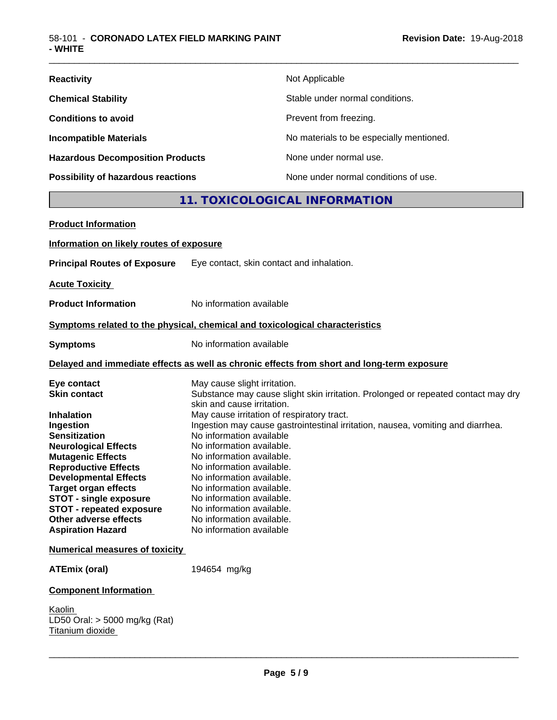| <b>Reactivity</b>                         | Not Applicable                           |
|-------------------------------------------|------------------------------------------|
| <b>Chemical Stability</b>                 | Stable under normal conditions.          |
| <b>Conditions to avoid</b>                | Prevent from freezing.                   |
| <b>Incompatible Materials</b>             | No materials to be especially mentioned. |
| <b>Hazardous Decomposition Products</b>   | None under normal use.                   |
| <b>Possibility of hazardous reactions</b> | None under normal conditions of use.     |

# **11. TOXICOLOGICAL INFORMATION**

| <b>Product Information</b>                                                                                                                                                                                                                                                                                                                                                     |                                                                                                                                                                                                                                                                                                                                                                                                                                                                                                                                                                                  |  |
|--------------------------------------------------------------------------------------------------------------------------------------------------------------------------------------------------------------------------------------------------------------------------------------------------------------------------------------------------------------------------------|----------------------------------------------------------------------------------------------------------------------------------------------------------------------------------------------------------------------------------------------------------------------------------------------------------------------------------------------------------------------------------------------------------------------------------------------------------------------------------------------------------------------------------------------------------------------------------|--|
| Information on likely routes of exposure                                                                                                                                                                                                                                                                                                                                       |                                                                                                                                                                                                                                                                                                                                                                                                                                                                                                                                                                                  |  |
| <b>Principal Routes of Exposure</b>                                                                                                                                                                                                                                                                                                                                            | Eye contact, skin contact and inhalation.                                                                                                                                                                                                                                                                                                                                                                                                                                                                                                                                        |  |
| <b>Acute Toxicity</b>                                                                                                                                                                                                                                                                                                                                                          |                                                                                                                                                                                                                                                                                                                                                                                                                                                                                                                                                                                  |  |
| <b>Product Information</b>                                                                                                                                                                                                                                                                                                                                                     | No information available                                                                                                                                                                                                                                                                                                                                                                                                                                                                                                                                                         |  |
|                                                                                                                                                                                                                                                                                                                                                                                | Symptoms related to the physical, chemical and toxicological characteristics                                                                                                                                                                                                                                                                                                                                                                                                                                                                                                     |  |
| <b>Symptoms</b>                                                                                                                                                                                                                                                                                                                                                                | No information available                                                                                                                                                                                                                                                                                                                                                                                                                                                                                                                                                         |  |
| Delayed and immediate effects as well as chronic effects from short and long-term exposure                                                                                                                                                                                                                                                                                     |                                                                                                                                                                                                                                                                                                                                                                                                                                                                                                                                                                                  |  |
| Eye contact<br><b>Skin contact</b><br><b>Inhalation</b><br>Ingestion<br><b>Sensitization</b><br><b>Neurological Effects</b><br><b>Mutagenic Effects</b><br><b>Reproductive Effects</b><br><b>Developmental Effects</b><br><b>Target organ effects</b><br><b>STOT - single exposure</b><br><b>STOT - repeated exposure</b><br>Other adverse effects<br><b>Aspiration Hazard</b> | May cause slight irritation.<br>Substance may cause slight skin irritation. Prolonged or repeated contact may dry<br>skin and cause irritation.<br>May cause irritation of respiratory tract.<br>Ingestion may cause gastrointestinal irritation, nausea, vomiting and diarrhea.<br>No information available<br>No information available.<br>No information available.<br>No information available.<br>No information available.<br>No information available.<br>No information available.<br>No information available.<br>No information available.<br>No information available |  |
| <b>Numerical measures of toxicity</b>                                                                                                                                                                                                                                                                                                                                          |                                                                                                                                                                                                                                                                                                                                                                                                                                                                                                                                                                                  |  |
| <b>ATEmix (oral)</b>                                                                                                                                                                                                                                                                                                                                                           | 194654 mg/kg                                                                                                                                                                                                                                                                                                                                                                                                                                                                                                                                                                     |  |
| <b>Component Information</b>                                                                                                                                                                                                                                                                                                                                                   |                                                                                                                                                                                                                                                                                                                                                                                                                                                                                                                                                                                  |  |
| Kaolin<br>LD50 Oral: $>$ 5000 mg/kg (Rat)<br>Titanium dioxide                                                                                                                                                                                                                                                                                                                  |                                                                                                                                                                                                                                                                                                                                                                                                                                                                                                                                                                                  |  |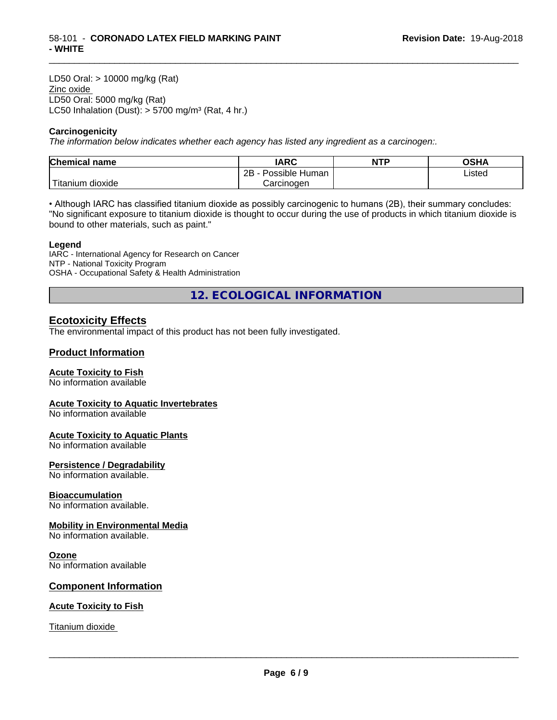LD50 Oral: > 10000 mg/kg (Rat) Zinc oxide LD50 Oral: 5000 mg/kg (Rat) LC50 Inhalation (Dust):  $> 5700$  mg/m<sup>3</sup> (Rat, 4 hr.)

#### **Carcinogenicity**

*The information below indicateswhether each agency has listed any ingredient as a carcinogen:.*

| <b>Chemical name</b>        | <b>IARC</b>                      | NTP | ດເ⊔∧<br>∪אח |
|-----------------------------|----------------------------------|-----|-------------|
|                             | . .<br>2B<br>Possible<br>≀ Human |     | Listed      |
| . dioxide<br><b>itanium</b> | Carcinoɑen                       |     |             |

\_\_\_\_\_\_\_\_\_\_\_\_\_\_\_\_\_\_\_\_\_\_\_\_\_\_\_\_\_\_\_\_\_\_\_\_\_\_\_\_\_\_\_\_\_\_\_\_\_\_\_\_\_\_\_\_\_\_\_\_\_\_\_\_\_\_\_\_\_\_\_\_\_\_\_\_\_\_\_\_\_\_\_\_\_\_\_\_\_\_\_\_\_

• Although IARC has classified titanium dioxide as possibly carcinogenic to humans (2B), their summary concludes: "No significant exposure to titanium dioxide is thought to occur during the use of products in which titanium dioxide is bound to other materials, such as paint."

#### **Legend**

IARC - International Agency for Research on Cancer NTP - National Toxicity Program OSHA - Occupational Safety & Health Administration

**12. ECOLOGICAL INFORMATION**

## **Ecotoxicity Effects**

The environmental impact of this product has not been fully investigated.

#### **Product Information**

#### **Acute Toxicity to Fish**

No information available

#### **Acute Toxicity to Aquatic Invertebrates**

No information available

#### **Acute Toxicity to Aquatic Plants**

No information available

#### **Persistence / Degradability**

No information available.

#### **Bioaccumulation**

No information available.

#### **Mobility in Environmental Media**

No information available.

#### **Ozone**

No information available

#### **Component Information**

#### **Acute Toxicity to Fish**

Titanium dioxide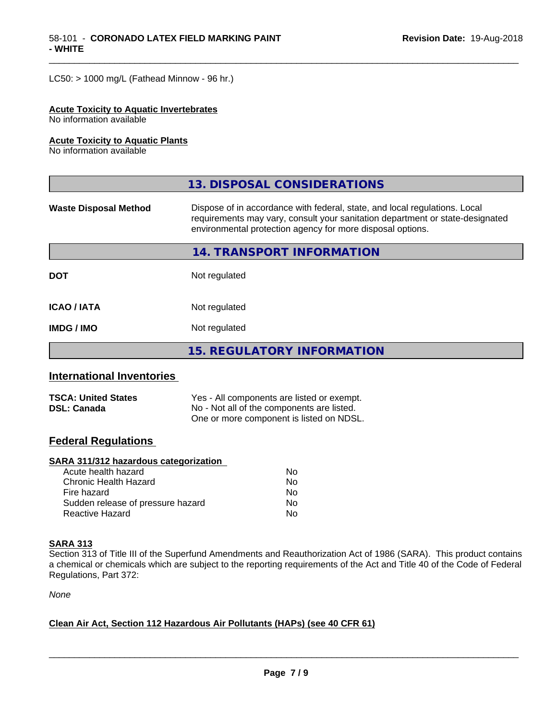$LC50:$  > 1000 mg/L (Fathead Minnow - 96 hr.)

#### **Acute Toxicity to Aquatic Invertebrates**

No information available

#### **Acute Toxicity to Aquatic Plants**

No information available

|                              | 13. DISPOSAL CONSIDERATIONS                                                                                                                                                                                               |
|------------------------------|---------------------------------------------------------------------------------------------------------------------------------------------------------------------------------------------------------------------------|
| <b>Waste Disposal Method</b> | Dispose of in accordance with federal, state, and local regulations. Local<br>requirements may vary, consult your sanitation department or state-designated<br>environmental protection agency for more disposal options. |
|                              | 14. TRANSPORT INFORMATION                                                                                                                                                                                                 |
| <b>DOT</b>                   | Not regulated                                                                                                                                                                                                             |
| <b>ICAO/IATA</b>             | Not regulated                                                                                                                                                                                                             |
| <b>IMDG / IMO</b>            | Not regulated                                                                                                                                                                                                             |
|                              | <b>15. REGULATORY INFORMATION</b>                                                                                                                                                                                         |

\_\_\_\_\_\_\_\_\_\_\_\_\_\_\_\_\_\_\_\_\_\_\_\_\_\_\_\_\_\_\_\_\_\_\_\_\_\_\_\_\_\_\_\_\_\_\_\_\_\_\_\_\_\_\_\_\_\_\_\_\_\_\_\_\_\_\_\_\_\_\_\_\_\_\_\_\_\_\_\_\_\_\_\_\_\_\_\_\_\_\_\_\_

### **International Inventories**

| <b>TSCA: United States</b> | Yes - All components are listed or exempt. |
|----------------------------|--------------------------------------------|
| <b>DSL: Canada</b>         | No - Not all of the components are listed. |
|                            | One or more component is listed on NDSL.   |

# **Federal Regulations**

#### **SARA 311/312 hazardous categorization**

| Acute health hazard               | N٥ |
|-----------------------------------|----|
| Chronic Health Hazard             | N٥ |
| Fire hazard                       | Nο |
| Sudden release of pressure hazard | Nο |
| Reactive Hazard                   | N٥ |

#### **SARA 313**

Section 313 of Title III of the Superfund Amendments and Reauthorization Act of 1986 (SARA). This product contains a chemical or chemicals which are subject to the reporting requirements of the Act and Title 40 of the Code of Federal Regulations, Part 372:

*None*

#### **Clean Air Act,Section 112 Hazardous Air Pollutants (HAPs) (see 40 CFR 61)**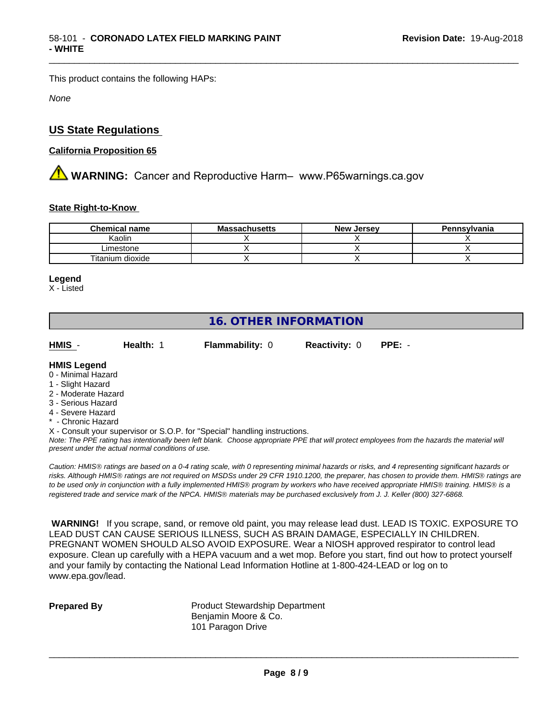This product contains the following HAPs:

*None*

# **US State Regulations**

#### **California Proposition 65**

**AN** WARNING: Cancer and Reproductive Harm– www.P65warnings.ca.gov

#### **State Right-to-Know**

| <b>Chemical name</b> | <b>Massachusetts</b> | <b>New Jersey</b> | Pennsylvania |
|----------------------|----------------------|-------------------|--------------|
| Kaolin               |                      |                   |              |
| Limestone            |                      |                   |              |
| Titanium dioxide     |                      |                   |              |

#### **Legend**

X - Listed

# **16. OTHER INFORMATION**

**HMIS** - **Health:** 1 **Flammability:** 0 **Reactivity:** 0 **PPE:** -

\_\_\_\_\_\_\_\_\_\_\_\_\_\_\_\_\_\_\_\_\_\_\_\_\_\_\_\_\_\_\_\_\_\_\_\_\_\_\_\_\_\_\_\_\_\_\_\_\_\_\_\_\_\_\_\_\_\_\_\_\_\_\_\_\_\_\_\_\_\_\_\_\_\_\_\_\_\_\_\_\_\_\_\_\_\_\_\_\_\_\_\_\_

#### **HMIS Legend**

- 0 Minimal Hazard
- 1 Slight Hazard
- 2 Moderate Hazard
- 3 Serious Hazard
- 4 Severe Hazard
- \* Chronic Hazard
- X Consult your supervisor or S.O.P. for "Special" handling instructions.

*Note: The PPE rating has intentionally been left blank. Choose appropriate PPE that will protect employees from the hazards the material will present under the actual normal conditions of use.*

*Caution: HMISÒ ratings are based on a 0-4 rating scale, with 0 representing minimal hazards or risks, and 4 representing significant hazards or risks. Although HMISÒ ratings are not required on MSDSs under 29 CFR 1910.1200, the preparer, has chosen to provide them. HMISÒ ratings are to be used only in conjunction with a fully implemented HMISÒ program by workers who have received appropriate HMISÒ training. HMISÒ is a registered trade and service mark of the NPCA. HMISÒ materials may be purchased exclusively from J. J. Keller (800) 327-6868.*

 **WARNING!** If you scrape, sand, or remove old paint, you may release lead dust. LEAD IS TOXIC. EXPOSURE TO LEAD DUST CAN CAUSE SERIOUS ILLNESS, SUCH AS BRAIN DAMAGE, ESPECIALLY IN CHILDREN. PREGNANT WOMEN SHOULD ALSO AVOID EXPOSURE.Wear a NIOSH approved respirator to control lead exposure. Clean up carefully with a HEPA vacuum and a wet mop. Before you start, find out how to protect yourself and your family by contacting the National Lead Information Hotline at 1-800-424-LEAD or log on to www.epa.gov/lead.

**Prepared By** Product Stewardship Department Benjamin Moore & Co. 101 Paragon Drive